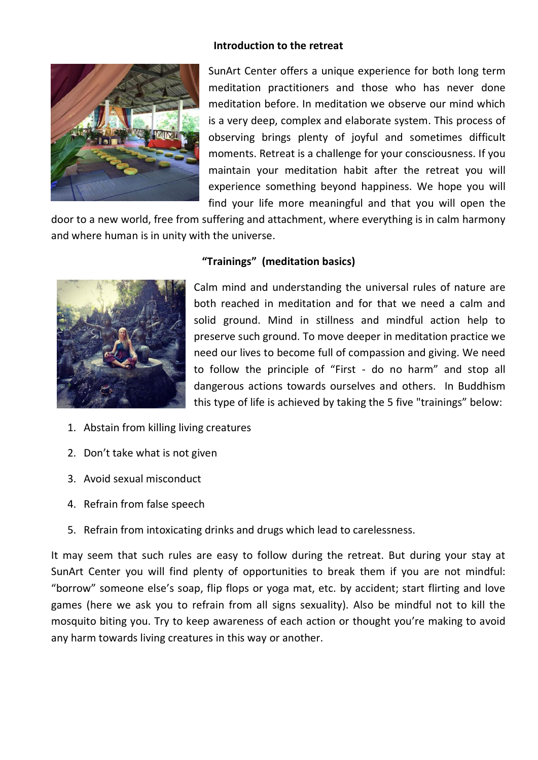#### **Introduction to the retreat**



SunArt Center offers a unique experience for both long term meditation practitioners and those who has never done meditation before. In meditation we observe our mind which is a very deep, complex and elaborate system. This process of observing brings plenty of joyful and sometimes difficult moments. Retreat is a challenge for your consciousness. If you maintain your meditation habit after the retreat you will experience something beyond happiness. We hope you will find your life more meaningful and that you will open the

door to a new world, free from suffering and attachment, where everything is in calm harmony and where human is in unity with the universe.



#### **"Trainings" (meditation basics)**

Calm mind and understanding the universal rules of nature are both reached in meditation and for that we need a calm and solid ground. Mind in stillness and mindful action help to preserve such ground. To move deeper in meditation practice we need our lives to become full of compassion and giving. We need to follow the principle of "First - do no harm" and stop all dangerous actions towards ourselves and others. In Buddhism this type of life is achieved by taking the 5 five "trainings" below:

- 1. Abstain from killing living creatures
- 2. Don't take what is not given
- 3. Avoid sexual misconduct
- 4. Refrain from false speech
- 5. Refrain from intoxicating drinks and drugs which lead to carelessness.

It may seem that such rules are easy to follow during the retreat. But during your stay at SunArt Center you will find plenty of opportunities to break them if you are not mindful: "borrow" someone else's soap, flip flops or yoga mat, etc. by accident; start flirting and love games (here we ask you to refrain from all signs sexuality). Also be mindful not to kill the mosquito biting you. Try to keep awareness of each action or thought you're making to avoid any harm towards living creatures in this way or another.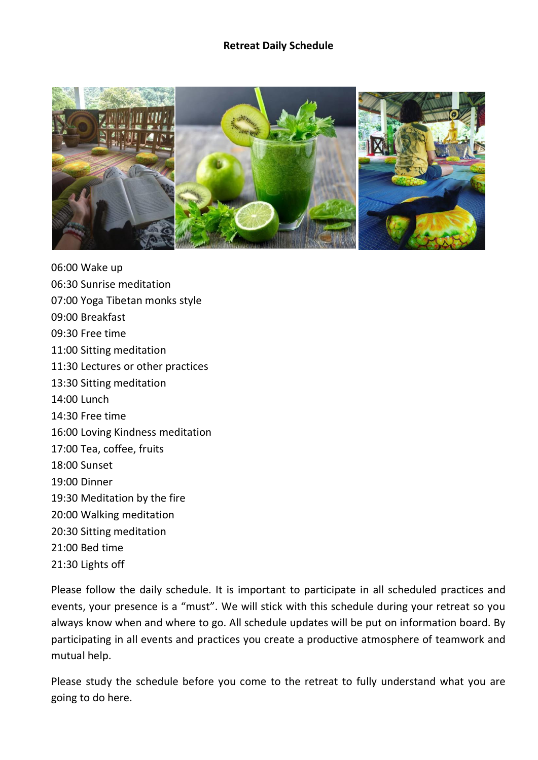#### **Retreat Daily Schedule**



06:00 Wake up 06:30 Sunrise meditation 07:00 Yoga Tibetan monks style 09:00 Breakfast 09:30 Free time 11:00 Sitting meditation 11:30 Lectures or other practices 13:30 Sitting meditation 14:00 Lunch 14:30 Free time 16:00 Loving Kindness meditation 17:00 Tea, coffee, fruits 18:00 Sunset 19:00 Dinner 19:30 Meditation by the fire 20:00 Walking meditation 20:30 Sitting meditation 21:00 Bed time 21:30 Lights off

Please follow the daily schedule. It is important to participate in all scheduled practices and events, your presence is a "must". We will stick with this schedule during your retreat so you always know when and where to go. All schedule updates will be put on information board. By participating in all events and practices you create a productive atmosphere of teamwork and mutual help.

Please study the schedule before you come to the retreat to fully understand what you are going to do here.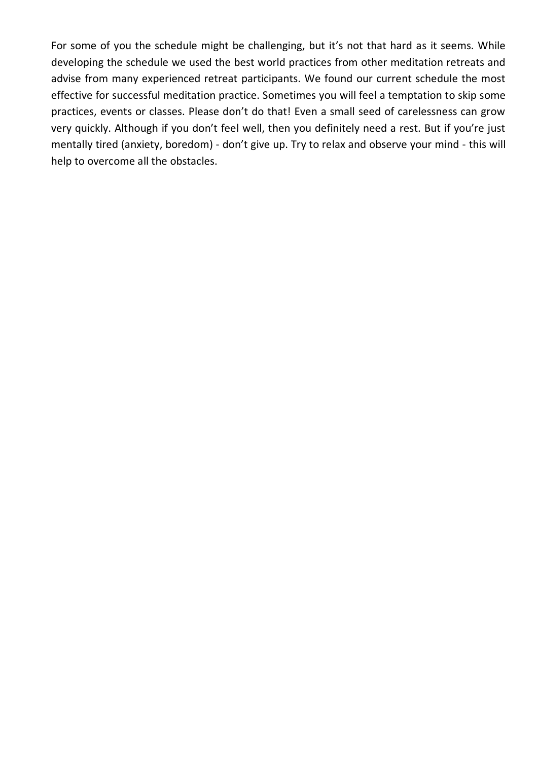For some of you the schedule might be challenging, but it's not that hard as it seems. While developing the schedule we used the best world practices from other meditation retreats and advise from many experienced retreat participants. We found our current schedule the most effective for successful meditation practice. Sometimes you will feel a temptation to skip some practices, events or classes. Please don't do that! Even a small seed of carelessness can grow very quickly. Although if you don't feel well, then you definitely need a rest. But if you're just mentally tired (anxiety, boredom) - don't give up. Try to relax and observe your mind - this will help to overcome all the obstacles.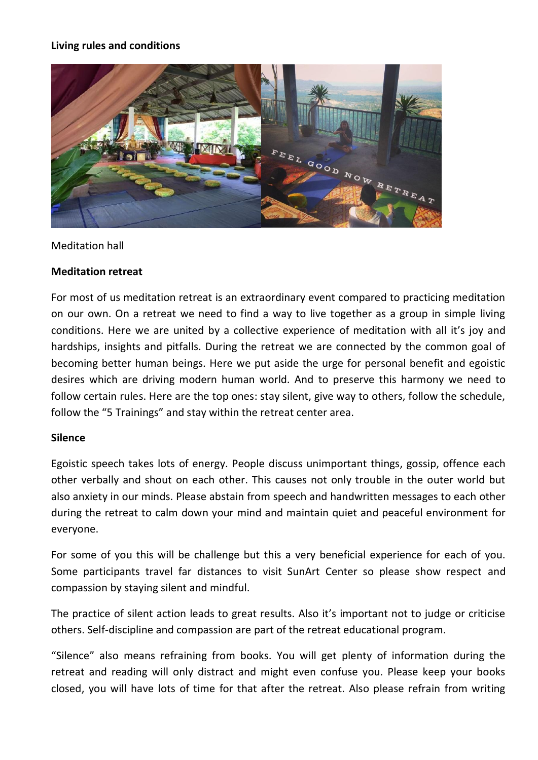#### **Living rules and conditions**



#### Meditation hall

#### **Meditation retreat**

For most of us meditation retreat is an extraordinary event compared to practicing meditation on our own. On a retreat we need to find a way to live together as a group in simple living conditions. Here we are united by a collective experience of meditation with all it's joy and hardships, insights and pitfalls. During the retreat we are connected by the common goal of becoming better human beings. Here we put aside the urge for personal benefit and egoistic desires which are driving modern human world. And to preserve this harmony we need to follow certain rules. Here are the top ones: stay silent, give way to others, follow the schedule, follow the "5 Trainings" and stay within the retreat center area.

#### **Silence**

Egoistic speech takes lots of energy. People discuss unimportant things, gossip, offence each other verbally and shout on each other. This causes not only trouble in the outer world but also anxiety in our minds. Please abstain from speech and handwritten messages to each other during the retreat to calm down your mind and maintain quiet and peaceful environment for everyone.

For some of you this will be challenge but this a very beneficial experience for each of you. Some participants travel far distances to visit SunArt Center so please show respect and compassion by staying silent and mindful.

The practice of silent action leads to great results. Also it's important not to judge or criticise others. Self-discipline and compassion are part of the retreat educational program.

"Silence" also means refraining from books. You will get plenty of information during the retreat and reading will only distract and might even confuse you. Please keep your books closed, you will have lots of time for that after the retreat. Also please refrain from writing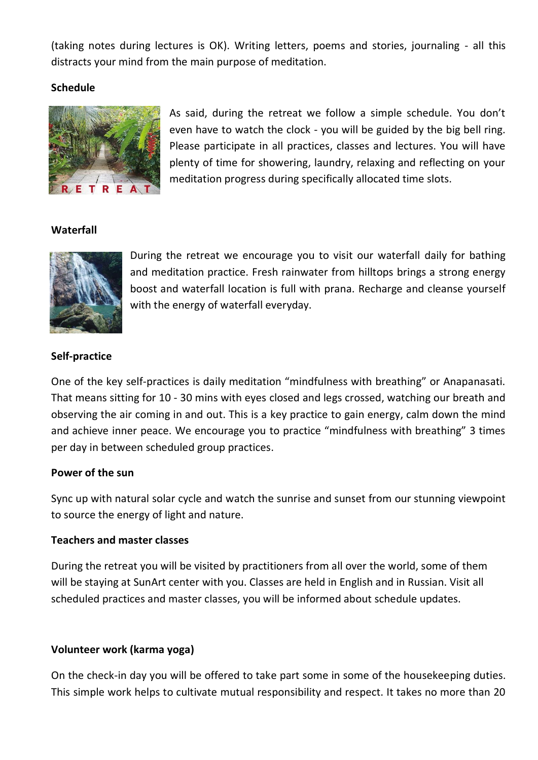(taking notes during lectures is OK). Writing letters, poems and stories, journaling - all this distracts your mind from the main purpose of meditation.

#### **Schedule**



As said, during the retreat we follow a simple schedule. You don't even have to watch the clock - you will be guided by the big bell ring. Please participate in all practices, classes and lectures. You will have plenty of time for showering, laundry, relaxing and reflecting on your meditation progress during specifically allocated time slots.

# **Waterfall**



During the retreat we encourage you to visit our waterfall daily for bathing and meditation practice. Fresh rainwater from hilltops brings a strong energy boost and waterfall location is full with prana. Recharge and cleanse yourself with the energy of waterfall everyday.

# **Self-practice**

One of the key self-practices is daily meditation "mindfulness with breathing" or Anapanasati. That means sitting for 10 - 30 mins with eyes closed and legs crossed, watching our breath and observing the air coming in and out. This is a key practice to gain energy, calm down the mind and achieve inner peace. We encourage you to practice "mindfulness with breathing" 3 times per day in between scheduled group practices.

# **Power of the sun**

Sync up with natural solar cycle and watch the sunrise and sunset from our stunning viewpoint to source the energy of light and nature.

# **Teachers and master classes**

During the retreat you will be visited by practitioners from all over the world, some of them will be staying at SunArt center with you. Classes are held in English and in Russian. Visit all scheduled practices and master classes, you will be informed about schedule updates.

# **Volunteer work (karma yoga)**

On the check-in day you will be offered to take part some in some of the housekeeping duties. This simple work helps to cultivate mutual responsibility and respect. It takes no more than 20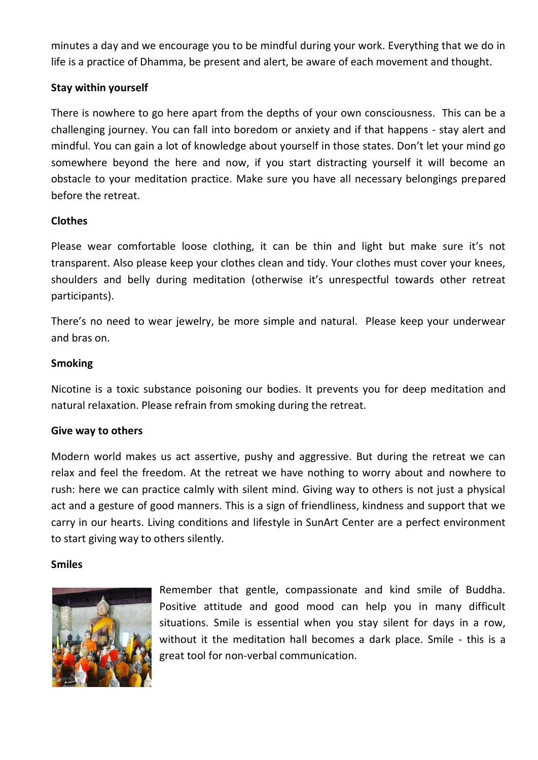minutes a day and we encourage you to be mindful during your work. Everything that we do in life is a practice of Dhamma, be present and alert, be aware of each movement and thought.

# **Stay within yourself**

There is nowhere to go here apart from the depths of your own consciousness. This can be a challenging journey. You can fall into boredom or anxiety and if that happens - stay alert and mindful. You can gain a lot of knowledge about yourself in those states. Don't let your mind go somewhere beyond the here and now, if you start distracting yourself it will become an obstacle to your meditation practice. Make sure you have all necessary belongings prepared before the retreat.

# **Clothes**

Please wear comfortable loose clothing, it can be thin and light but make sure it's not transparent. Also please keep your clothes clean and tidy. Your clothes must cover your knees, shoulders and belly during meditation (otherwise it's unrespectful towards other retreat participants).

There's no need to wear jewelry, be more simple and natural. Please keep your underwear and bras on.

# **Smoking**

Nicotine is a toxic substance poisoning our bodies. It prevents you for deep meditation and natural relaxation. Please refrain from smoking during the retreat.

# **Give way to others**

Modern world makes us act assertive, pushy and aggressive. But during the retreat we can relax and feel the freedom. At the retreat we have nothing to worry about and nowhere to rush: here we can practice calmly with silent mind. Giving way to others is not just a physical act and a gesture of good manners. This is a sign of friendliness, kindness and support that we carry in our hearts. Living conditions and lifestyle in SunArt Center are a perfect environment to start giving way to others silently.

# **Smiles**



Remember that gentle, compassionate and kind smile of Buddha. Positive attitude and good mood can help you in many difficult situations. Smile is essential when you stay silent for days in a row, without it the meditation hall becomes a dark place. Smile - this is a great tool for non-verbal communication.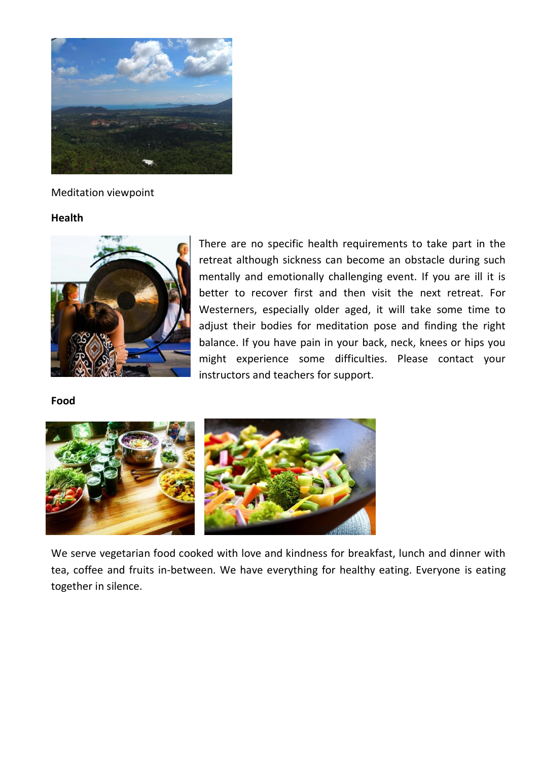

Meditation viewpoint

#### **Health**



There are no specific health requirements to take part in the retreat although sickness can become an obstacle during such mentally and emotionally challenging event. If you are ill it is better to recover first and then visit the next retreat. For Westerners, especially older aged, it will take some time to adjust their bodies for meditation pose and finding the right balance. If you have pain in your back, neck, knees or hips you might experience some difficulties. Please contact your instructors and teachers for support.

#### **Food**



We serve vegetarian food cooked with love and kindness for breakfast, lunch and dinner with tea, coffee and fruits in-between. We have everything for healthy eating. Everyone is eating together in silence.